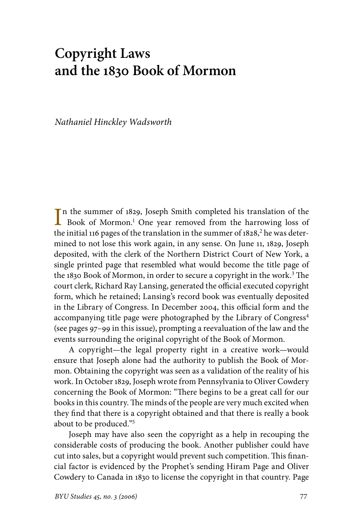# **Copyright Laws and the 1830 Book of Mormon**

*Nathaniel Hinckley Wadsworth*

In the summer of 1829, Joseph Smith completed his translation of the Book of Mormon.<sup>1</sup> One year removed from the harrowing loss of n the summer of 1829, Joseph Smith completed his translation of the the initial 116 pages of the translation in the summer of 1828, $^2$  he was determined to not lose this work again, in any sense. On June 11, 1829, Joseph deposited, with the clerk of the Northern District Court of New York, a single printed page that resembled what would become the title page of the 1830 Book of Mormon, in order to secure a copyright in the work.<sup>3</sup> The court clerk, Richard Ray Lansing, generated the official executed copyright form, which he retained; Lansing's record book was eventually deposited in the Library of Congress. In December 2004, this official form and the accompanying title page were photographed by the Library of Congress<sup>4</sup> (see pages 97–99 in this issue), prompting a reevaluation of the law and the events surrounding the original copyright of the Book of Mormon.

A copyright—the legal property right in a creative work—would ensure that Joseph alone had the authority to publish the Book of Mormon. Obtaining the copyright was seen as a validation of the reality of his work. In October 1829, Joseph wrote from Pennsylvania to Oliver Cowdery concerning the Book of Mormon: "There begins to be a great call for our books in this country. The minds of the people are very much excited when they find that there is a copyright obtained and that there is really a book about to be produced."5

Joseph may have also seen the copyright as a help in recouping the considerable costs of producing the book. Another publisher could have cut into sales, but a copyright would prevent such competition. This financial factor is evidenced by the Prophet's sending Hiram Page and Oliver Cowdery to Canada in 1830 to license the copyright in that country. Page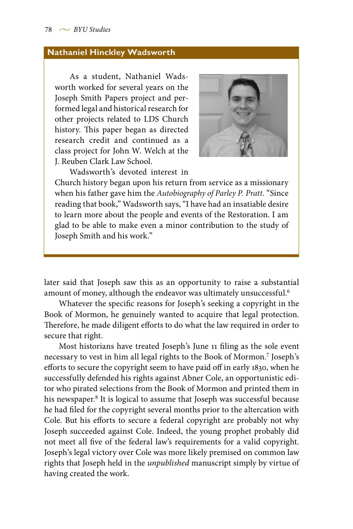# **Nathaniel Hinckley Wadsworth**

As a student, Nathaniel Wadsworth worked for several years on the Joseph Smith Papers project and performed legal and historical research for other projects related to LDS Church history. This paper began as directed research credit and continued as a class project for John W. Welch at the J. Reuben Clark Law School.



Wadsworth's devoted interest in

Church history began upon his return from service as a missionary when his father gave him the *Autobiography of Parley P. Pratt*. "Since reading that book," Wadsworth says, "I have had an insatiable desire to learn more about the people and events of the Restoration. I am glad to be able to make even a minor contribution to the study of Joseph Smith and his work."

later said that Joseph saw this as an opportunity to raise a substantial amount of money, although the endeavor was ultimately unsuccessful.<sup>6</sup>

Whatever the specific reasons for Joseph's seeking a copyright in the Book of Mormon, he genuinely wanted to acquire that legal protection. Therefore, he made diligent efforts to do what the law required in order to secure that right.

Most historians have treated Joseph's June 11 filing as the sole event necessary to vest in him all legal rights to the Book of Mormon.7 Joseph's efforts to secure the copyright seem to have paid off in early 1830, when he successfully defended his rights against Abner Cole, an opportunistic editor who pirated selections from the Book of Mormon and printed them in his newspaper.<sup>8</sup> It is logical to assume that Joseph was successful because he had filed for the copyright several months prior to the altercation with Cole. But his efforts to secure a federal copyright are probably not why Joseph succeeded against Cole. Indeed, the young prophet probably did not meet all five of the federal law's requirements for a valid copyright. Joseph's legal victory over Cole was more likely premised on common law rights that Joseph held in the *unpublished* manuscript simply by virtue of having created the work.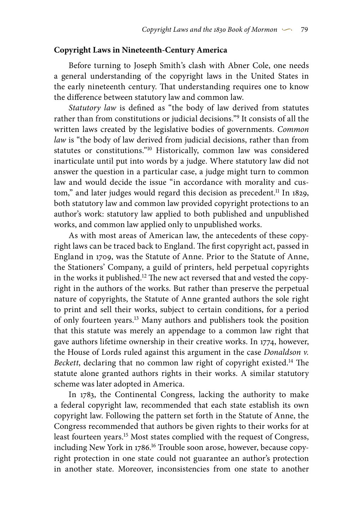### **Copyright Laws in Nineteenth-Century America**

Before turning to Joseph Smith's clash with Abner Cole, one needs a general understanding of the copyright laws in the United States in the early nineteenth century. That understanding requires one to know the difference between statutory law and common law.

*Statutory law* is defined as "the body of law derived from statutes rather than from constitutions or judicial decisions."9 It consists of all the written laws created by the legislative bodies of governments. *Common law* is "the body of law derived from judicial decisions, rather than from statutes or constitutions."<sup>10</sup> Historically, common law was considered inarticulate until put into words by a judge. Where statutory law did not answer the question in a particular case, a judge might turn to common law and would decide the issue "in accordance with morality and custom," and later judges would regard this decision as precedent.<sup>11</sup> In 1829, both statutory law and common law provided copyright protections to an author's work: statutory law applied to both published and unpublished works, and common law applied only to unpublished works.

As with most areas of American law, the antecedents of these copyright laws can be traced back to England. The first copyright act, passed in England in 1709, was the Statute of Anne. Prior to the Statute of Anne, the Stationers' Company, a guild of printers, held perpetual copyrights in the works it published.<sup>12</sup> The new act reversed that and vested the copyright in the authors of the works. But rather than preserve the perpetual nature of copyrights, the Statute of Anne granted authors the sole right to print and sell their works, subject to certain conditions, for a period of only fourteen years.13 Many authors and publishers took the position that this statute was merely an appendage to a common law right that gave authors lifetime ownership in their creative works. In 1774, however, the House of Lords ruled against this argument in the case *Donaldson v.*  Beckett, declaring that no common law right of copyright existed.<sup>14</sup> The statute alone granted authors rights in their works. A similar statutory scheme was later adopted in America.

In 1783, the Continental Congress, lacking the authority to make a federal copyright law, recommended that each state establish its own copyright law. Following the pattern set forth in the Statute of Anne, the Congress recommended that authors be given rights to their works for at least fourteen years.<sup>15</sup> Most states complied with the request of Congress, including New York in 1786.<sup>16</sup> Trouble soon arose, however, because copyright protection in one state could not guarantee an author's protection in another state. Moreover, inconsistencies from one state to another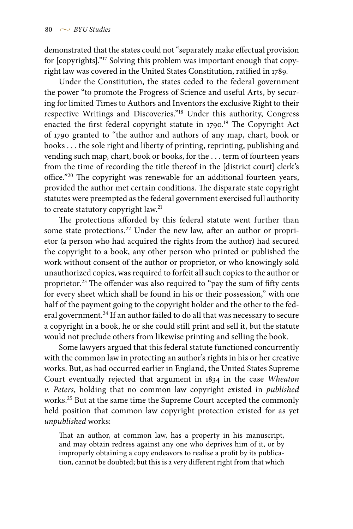demonstrated that the states could not "separately make effectual provision for [copyrights]."17 Solving this problem was important enough that copyright law was covered in the United States Constitution, ratified in 1789.

Under the Constitution, the states ceded to the federal government the power "to promote the Progress of Science and useful Arts, by securing for limited Times to Authors and Inventors the exclusive Right to their respective Writings and Discoveries."18 Under this authority, Congress enacted the first federal copyright statute in 1790.<sup>19</sup> The Copyright Act of 1790 granted to "the author and authors of any map, chart, book or books . . . the sole right and liberty of printing, reprinting, publishing and vending such map, chart, book or books, for the . . . term of fourteen years from the time of recording the title thereof in the [district court] clerk's office."<sup>20</sup> The copyright was renewable for an additional fourteen years, provided the author met certain conditions. The disparate state copyright statutes were preempted as the federal government exercised full authority to create statutory copyright law.<sup>21</sup>

The protections afforded by this federal statute went further than some state protections.<sup>22</sup> Under the new law, after an author or proprietor (a person who had acquired the rights from the author) had secured the copyright to a book, any other person who printed or published the work without consent of the author or proprietor, or who knowingly sold unauthorized copies, was required to forfeit all such copies to the author or proprietor.<sup>23</sup> The offender was also required to "pay the sum of fifty cents for every sheet which shall be found in his or their possession," with one half of the payment going to the copyright holder and the other to the federal government.<sup>24</sup> If an author failed to do all that was necessary to secure a copyright in a book, he or she could still print and sell it, but the statute would not preclude others from likewise printing and selling the book.

Some lawyers argued that this federal statute functioned concurrently with the common law in protecting an author's rights in his or her creative works. But, as had occurred earlier in England, the United States Supreme Court eventually rejected that argument in 1834 in the case *Wheaton v. Peters*, holding that no common law copyright existed in *published* works.25 But at the same time the Supreme Court accepted the commonly held position that common law copyright protection existed for as yet *unpublished* works:

That an author, at common law, has a property in his manuscript, and may obtain redress against any one who deprives him of it, or by improperly obtaining a copy endeavors to realise a profit by its publication, cannot be doubted; but this is a very different right from that which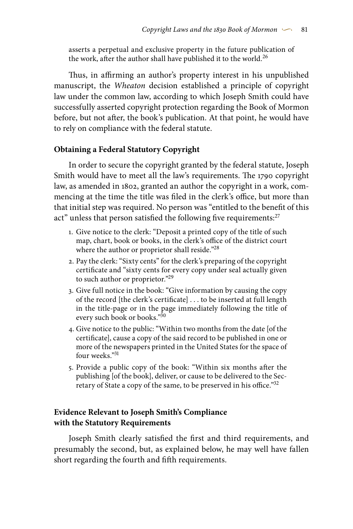asserts a perpetual and exclusive property in the future publication of the work, after the author shall have published it to the world.<sup>26</sup>

Thus, in affirming an author's property interest in his unpublished manuscript, the *Wheaton* decision established a principle of copyright law under the common law, according to which Joseph Smith could have successfully asserted copyright protection regarding the Book of Mormon before, but not after, the book's publication. At that point, he would have to rely on compliance with the federal statute.

## **Obtaining a Federal Statutory Copyright**

In order to secure the copyright granted by the federal statute, Joseph Smith would have to meet all the law's requirements. The 1790 copyright law, as amended in 1802, granted an author the copyright in a work, commencing at the time the title was filed in the clerk's office, but more than that initial step was required. No person was "entitled to the benefit of this act" unless that person satisfied the following five requirements:<sup>27</sup>

- 1. Give notice to the clerk: "Deposit a printed copy of the title of such map, chart, book or books, in the clerk's office of the district court where the author or proprietor shall reside."<sup>28</sup>
- 2. Pay the clerk: "Sixty cents" for the clerk's preparing of the copyright certificate and "sixty cents for every copy under seal actually given to such author or proprietor."29
- 3. Give full notice in the book: "Give information by causing the copy of the record [the clerk's certificate] . . . to be inserted at full length in the title-page or in the page immediately following the title of every such book or books."30
- 4. Give notice to the public: "Within two months from the date [of the certificate], cause a copy of the said record to be published in one or more of the newspapers printed in the United States for the space of four weeks."31
- 5. Provide a public copy of the book: "Within six months after the publishing [of the book], deliver, or cause to be delivered to the Secretary of State a copy of the same, to be preserved in his office."32

## **Evidence Relevant to Joseph Smith's Compliance with the Statutory Requirements**

Joseph Smith clearly satisfied the first and third requirements, and presumably the second, but, as explained below, he may well have fallen short regarding the fourth and fifth requirements.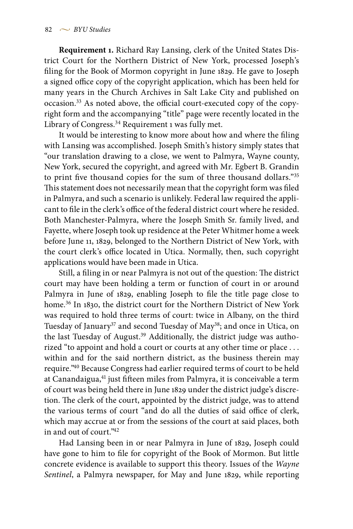**Requirement 1.** Richard Ray Lansing, clerk of the United States District Court for the Northern District of New York, processed Joseph's filing for the Book of Mormon copyright in June 1829. He gave to Joseph a signed office copy of the copyright application, which has been held for many years in the Church Archives in Salt Lake City and published on occasion.33 As noted above, the official court-executed copy of the copyright form and the accompanying "title" page were recently located in the Library of Congress.34 Requirement 1 was fully met.

It would be interesting to know more about how and where the filing with Lansing was accomplished. Joseph Smith's history simply states that "our translation drawing to a close, we went to Palmyra, Wayne county, New York, secured the copyright, and agreed with Mr. Egbert B. Grandin to print five thousand copies for the sum of three thousand dollars."35 This statement does not necessarily mean that the copyright form was filed in Palmyra, and such a scenario is unlikely. Federal law required the applicant to file in the clerk's office of the federal district court where he resided. Both Manchester-Palmyra, where the Joseph Smith Sr. family lived, and Fayette, where Joseph took up residence at the Peter Whitmer home a week before June 11, 1829, belonged to the Northern District of New York, with the court clerk's office located in Utica. Normally, then, such copyright applications would have been made in Utica.

Still, a filing in or near Palmyra is not out of the question: The district court may have been holding a term or function of court in or around Palmyra in June of 1829, enabling Joseph to file the title page close to home.36 In 1830, the district court for the Northern District of New York was required to hold three terms of court: twice in Albany, on the third Tuesday of January<sup>37</sup> and second Tuesday of May<sup>38</sup>; and once in Utica, on the last Tuesday of August.<sup>39</sup> Additionally, the district judge was authorized "to appoint and hold a court or courts at any other time or place . . . within and for the said northern district, as the business therein may require."40 Because Congress had earlier required terms of court to be held at Canandaigua,<sup>41</sup> just fifteen miles from Palmyra, it is conceivable a term of court was being held there in June 1829 under the district judge's discretion. The clerk of the court, appointed by the district judge, was to attend the various terms of court "and do all the duties of said office of clerk, which may accrue at or from the sessions of the court at said places, both in and out of court."42

Had Lansing been in or near Palmyra in June of 1829, Joseph could have gone to him to file for copyright of the Book of Mormon. But little concrete evidence is available to support this theory. Issues of the *Wayne Sentinel*, a Palmyra newspaper, for May and June 1829, while reporting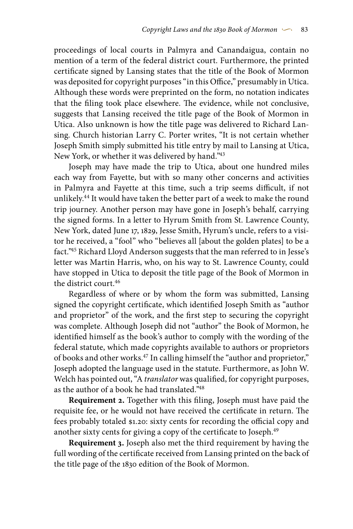proceedings of local courts in Palmyra and Canandaigua, contain no mention of a term of the federal district court. Furthermore, the printed certificate signed by Lansing states that the title of the Book of Mormon was deposited for copyright purposes "in this Office," presumably in Utica. Although these words were preprinted on the form, no notation indicates that the filing took place elsewhere. The evidence, while not conclusive, suggests that Lansing received the title page of the Book of Mormon in Utica. Also unknown is how the title page was delivered to Richard Lansing. Church historian Larry C. Porter writes, "It is not certain whether Joseph Smith simply submitted his title entry by mail to Lansing at Utica, New York, or whether it was delivered by hand."43

Joseph may have made the trip to Utica, about one hundred miles each way from Fayette, but with so many other concerns and activities in Palmyra and Fayette at this time, such a trip seems difficult, if not unlikely.<sup>44</sup> It would have taken the better part of a week to make the round trip journey. Another person may have gone in Joseph's behalf, carrying the signed forms. In a letter to Hyrum Smith from St. Lawrence County, New York, dated June 17, 1829, Jesse Smith, Hyrum's uncle, refers to a visitor he received, a "fool" who "believes all [about the golden plates] to be a fact."45 Richard Lloyd Anderson suggests that the man referred to in Jesse's letter was Martin Harris, who, on his way to St. Lawrence County, could have stopped in Utica to deposit the title page of the Book of Mormon in the district court.46

Regardless of where or by whom the form was submitted, Lansing signed the copyright certificate, which identified Joseph Smith as "author and proprietor" of the work, and the first step to securing the copyright was complete. Although Joseph did not "author" the Book of Mormon, he identified himself as the book's author to comply with the wording of the federal statute, which made copyrights available to authors or proprietors of books and other works.<sup>47</sup> In calling himself the "author and proprietor," Joseph adopted the language used in the statute. Furthermore, as John W. Welch has pointed out, "A *translator* was qualified, for copyright purposes, as the author of a book he had translated."48

**Requirement 2.** Together with this filing, Joseph must have paid the requisite fee, or he would not have received the certificate in return. The fees probably totaled \$1.20: sixty cents for recording the official copy and another sixty cents for giving a copy of the certificate to Joseph.<sup>49</sup>

**Requirement 3.** Joseph also met the third requirement by having the full wording of the certificate received from Lansing printed on the back of the title page of the 1830 edition of the Book of Mormon.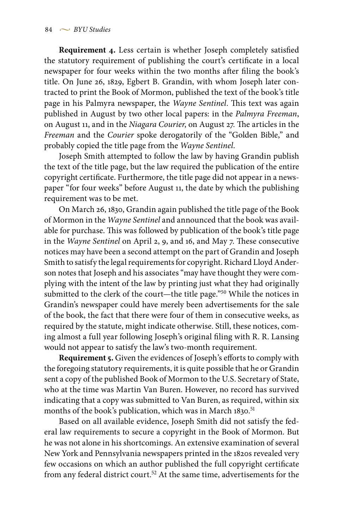**Requirement 4.** Less certain is whether Joseph completely satisfied the statutory requirement of publishing the court's certificate in a local newspaper for four weeks within the two months after filing the book's title. On June 26, 1829, Egbert B. Grandin, with whom Joseph later contracted to print the Book of Mormon, published the text of the book's title page in his Palmyra newspaper, the *Wayne Sentinel*. This text was again published in August by two other local papers: in the *Palmyra Freeman*, on August 11, and in the *Niagara Courier*, on August 27*.* The articles in the *Freeman* and the *Courier* spoke derogatorily of the "Golden Bible," and probably copied the title page from the *Wayne Sentinel*.

Joseph Smith attempted to follow the law by having Grandin publish the text of the title page, but the law required the publication of the entire copyright certificate. Furthermore, the title page did not appear in a newspaper "for four weeks" before August 11, the date by which the publishing requirement was to be met.

On March 26, 1830, Grandin again published the title page of the Book of Mormon in the *Wayne Sentinel* and announced that the book was available for purchase. This was followed by publication of the book's title page in the *Wayne Sentinel* on April 2, 9, and 16, and May 7. These consecutive notices may have been a second attempt on the part of Grandin and Joseph Smith to satisfy the legal requirements for copyright. Richard Lloyd Anderson notes that Joseph and his associates "may have thought they were complying with the intent of the law by printing just what they had originally submitted to the clerk of the court—the title page."50 While the notices in Grandin's newspaper could have merely been advertisements for the sale of the book, the fact that there were four of them in consecutive weeks, as required by the statute, might indicate otherwise. Still, these notices, coming almost a full year following Joseph's original filing with R. R. Lansing would not appear to satisfy the law's two-month requirement.

**Requirement 5.** Given the evidences of Joseph's efforts to comply with the foregoing statutory requirements, it is quite possible that he or Grandin sent a copy of the published Book of Mormon to the U.S. Secretary of State, who at the time was Martin Van Buren. However, no record has survived indicating that a copy was submitted to Van Buren, as required, within six months of the book's publication, which was in March 1830.<sup>51</sup>

Based on all available evidence, Joseph Smith did not satisfy the federal law requirements to secure a copyright in the Book of Mormon. But he was not alone in his shortcomings. An extensive examination of several New York and Pennsylvania newspapers printed in the 1820s revealed very few occasions on which an author published the full copyright certificate from any federal district court.<sup>52</sup> At the same time, advertisements for the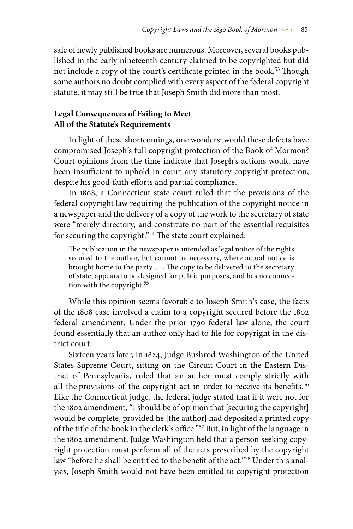sale of newly published books are numerous. Moreover, several books published in the early nineteenth century claimed to be copyrighted but did not include a copy of the court's certificate printed in the book.<sup>53</sup> Though some authors no doubt complied with every aspect of the federal copyright statute, it may still be true that Joseph Smith did more than most.

# **Legal Consequences of Failing to Meet All of the Statute's Requirements**

In light of these shortcomings, one wonders: would these defects have compromised Joseph's full copyright protection of the Book of Mormon? Court opinions from the time indicate that Joseph's actions would have been insufficient to uphold in court any statutory copyright protection, despite his good-faith efforts and partial compliance.

In 1808, a Connecticut state court ruled that the provisions of the federal copyright law requiring the publication of the copyright notice in a newspaper and the delivery of a copy of the work to the secretary of state were "merely directory, and constitute no part of the essential requisites for securing the copyright."54 The state court explained:

The publication in the newspaper is intended as legal notice of the rights secured to the author, but cannot be necessary, where actual notice is brought home to the party. . . . The copy to be delivered to the secretary of state, appears to be designed for public purposes, and has no connection with the copyright.<sup>55</sup>

While this opinion seems favorable to Joseph Smith's case, the facts of the 1808 case involved a claim to a copyright secured before the 1802 federal amendment. Under the prior 1790 federal law alone, the court found essentially that an author only had to file for copyright in the district court.

Sixteen years later, in 1824, Judge Bushrod Washington of the United States Supreme Court, sitting on the Circuit Court in the Eastern District of Pennsylvania, ruled that an author must comply strictly with all the provisions of the copyright act in order to receive its benefits.<sup>56</sup> Like the Connecticut judge, the federal judge stated that if it were not for the 1802 amendment, "I should be of opinion that [securing the copyright] would be complete, provided he [the author] had deposited a printed copy of the title of the book in the clerk's office."57 But, in light of the language in the 1802 amendment, Judge Washington held that a person seeking copyright protection must perform all of the acts prescribed by the copyright law "before he shall be entitled to the benefit of the act."<sup>58</sup> Under this analysis, Joseph Smith would not have been entitled to copyright protection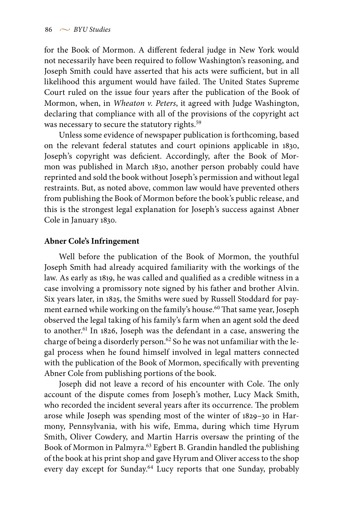for the Book of Mormon. A different federal judge in New York would not necessarily have been required to follow Washington's reasoning, and Joseph Smith could have asserted that his acts were sufficient, but in all likelihood this argument would have failed. The United States Supreme Court ruled on the issue four years after the publication of the Book of Mormon, when, in *Wheaton v. Peters*, it agreed with Judge Washington, declaring that compliance with all of the provisions of the copyright act was necessary to secure the statutory rights.<sup>59</sup>

Unless some evidence of newspaper publication is forthcoming, based on the relevant federal statutes and court opinions applicable in 1830, Joseph's copyright was deficient. Accordingly, after the Book of Mormon was published in March 1830, another person probably could have reprinted and sold the book without Joseph's permission and without legal restraints. But, as noted above, common law would have prevented others from publishing the Book of Mormon before the book's public release, and this is the strongest legal explanation for Joseph's success against Abner Cole in January 1830.

## **Abner Cole's Infringement**

Well before the publication of the Book of Mormon, the youthful Joseph Smith had already acquired familiarity with the workings of the law. As early as 1819, he was called and qualified as a credible witness in a case involving a promissory note signed by his father and brother Alvin. Six years later, in 1825, the Smiths were sued by Russell Stoddard for payment earned while working on the family's house.<sup>60</sup> That same year, Joseph observed the legal taking of his family's farm when an agent sold the deed to another.<sup>61</sup> In 1826, Joseph was the defendant in a case, answering the charge of being a disorderly person.<sup>62</sup> So he was not unfamiliar with the legal process when he found himself involved in legal matters connected with the publication of the Book of Mormon, specifically with preventing Abner Cole from publishing portions of the book.

Joseph did not leave a record of his encounter with Cole. The only account of the dispute comes from Joseph's mother, Lucy Mack Smith, who recorded the incident several years after its occurrence. The problem arose while Joseph was spending most of the winter of 1829–30 in Harmony, Pennsylvania, with his wife, Emma, during which time Hyrum Smith, Oliver Cowdery, and Martin Harris oversaw the printing of the Book of Mormon in Palmyra.63 Egbert B. Grandin handled the publishing of the book at his print shop and gave Hyrum and Oliver access to the shop every day except for Sunday.<sup>64</sup> Lucy reports that one Sunday, probably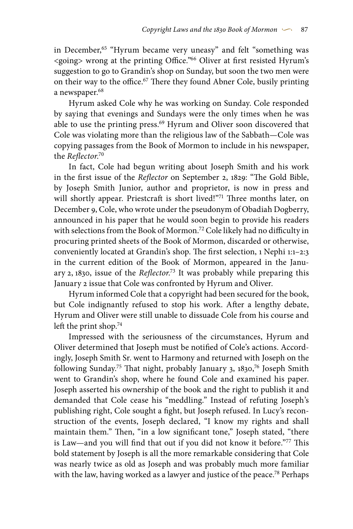in December,<sup>65</sup> "Hyrum became very uneasy" and felt "something was <going> wrong at the printing Office."66 Oliver at first resisted Hyrum's suggestion to go to Grandin's shop on Sunday, but soon the two men were on their way to the office.<sup>67</sup> There they found Abner Cole, busily printing a newspaper.<sup>68</sup>

Hyrum asked Cole why he was working on Sunday. Cole responded by saying that evenings and Sundays were the only times when he was able to use the printing press.<sup>69</sup> Hyrum and Oliver soon discovered that Cole was violating more than the religious law of the Sabbath—Cole was copying passages from the Book of Mormon to include in his newspaper, the *Reflector*. 70

In fact, Cole had begun writing about Joseph Smith and his work in the first issue of the *Reflector* on September 2, 1829: "The Gold Bible, by Joseph Smith Junior, author and proprietor, is now in press and will shortly appear. Priestcraft is short lived!"71 Three months later, on December 9, Cole, who wrote under the pseudonym of Obadiah Dogberry, announced in his paper that he would soon begin to provide his readers with selections from the Book of Mormon.<sup>72</sup> Cole likely had no difficulty in procuring printed sheets of the Book of Mormon, discarded or otherwise, conveniently located at Grandin's shop. The first selection, 1 Nephi 1:1–2:3 in the current edition of the Book of Mormon, appeared in the January 2, 1830, issue of the *Reflector*. 73 It was probably while preparing this January 2 issue that Cole was confronted by Hyrum and Oliver.

Hyrum informed Cole that a copyright had been secured for the book, but Cole indignantly refused to stop his work. After a lengthy debate, Hyrum and Oliver were still unable to dissuade Cole from his course and left the print shop.<sup>74</sup>

Impressed with the seriousness of the circumstances, Hyrum and Oliver determined that Joseph must be notified of Cole's actions. Accordingly, Joseph Smith Sr. went to Harmony and returned with Joseph on the following Sunday.<sup>75</sup> That night, probably January 3, 1830,<sup>76</sup> Joseph Smith went to Grandin's shop, where he found Cole and examined his paper. Joseph asserted his ownership of the book and the right to publish it and demanded that Cole cease his "meddling." Instead of refuting Joseph's publishing right, Cole sought a fight, but Joseph refused. In Lucy's reconstruction of the events, Joseph declared, "I know my rights and shall maintain them." Then, "in a low significant tone," Joseph stated, "there is Law—and you will find that out if you did not know it before."77 This bold statement by Joseph is all the more remarkable considering that Cole was nearly twice as old as Joseph and was probably much more familiar with the law, having worked as a lawyer and justice of the peace.<sup>78</sup> Perhaps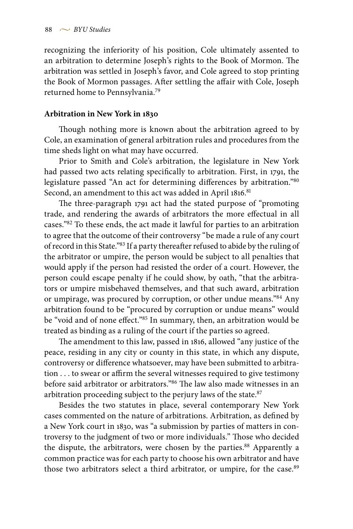recognizing the inferiority of his position, Cole ultimately assented to an arbitration to determine Joseph's rights to the Book of Mormon. The arbitration was settled in Joseph's favor, and Cole agreed to stop printing the Book of Mormon passages. After settling the affair with Cole, Joseph returned home to Pennsylvania.79

## **Arbitration in New York in 1830**

Though nothing more is known about the arbitration agreed to by Cole, an examination of general arbitration rules and procedures from the time sheds light on what may have occurred.

Prior to Smith and Cole's arbitration, the legislature in New York had passed two acts relating specifically to arbitration. First, in 1791, the legislature passed "An act for determining differences by arbitration."80 Second, an amendment to this act was added in April 1816.<sup>81</sup>

The three-paragraph 1791 act had the stated purpose of "promoting trade, and rendering the awards of arbitrators the more effectual in all cases."82 To these ends, the act made it lawful for parties to an arbitration to agree that the outcome of their controversy "be made a rule of any court of record in this State."83 If a party thereafter refused to abide by the ruling of the arbitrator or umpire, the person would be subject to all penalties that would apply if the person had resisted the order of a court. However, the person could escape penalty if he could show, by oath, "that the arbitrators or umpire misbehaved themselves, and that such award, arbitration or umpirage, was procured by corruption, or other undue means."84 Any arbitration found to be "procured by corruption or undue means" would be "void and of none effect."85 In summary, then, an arbitration would be treated as binding as a ruling of the court if the parties so agreed.

The amendment to this law, passed in 1816, allowed "any justice of the peace, residing in any city or county in this state, in which any dispute, controversy or difference whatsoever, may have been submitted to arbitration . . . to swear or affirm the several witnesses required to give testimony before said arbitrator or arbitrators."86 The law also made witnesses in an arbitration proceeding subject to the perjury laws of the state.<sup>87</sup>

Besides the two statutes in place, several contemporary New York cases commented on the nature of arbitrations. Arbitration, as defined by a New York court in 1830, was "a submission by parties of matters in controversy to the judgment of two or more individuals." Those who decided the dispute, the arbitrators, were chosen by the parties.<sup>88</sup> Apparently a common practice was for each party to choose his own arbitrator and have those two arbitrators select a third arbitrator, or umpire, for the case.<sup>89</sup>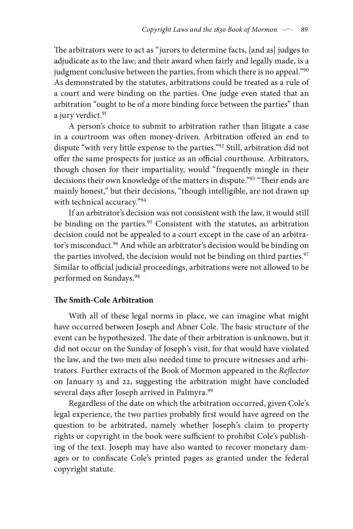The arbitrators were to act as "jurors to determine facts, [and as] judges to adjudicate as to the law; and their award when fairly and legally made, is a judgment conclusive between the parties, from which there is no appeal."90 As demonstrated by the statutes, arbitrations could be treated as a rule of a court and were binding on the parties. One judge even stated that an arbitration "ought to be of a more binding force between the parties" than a jury verdict.<sup>91</sup>

A person's choice to submit to arbitration rather than litigate a case in a courtroom was often money-driven. Arbitration offered an end to dispute "with very little expense to the parties."92 Still, arbitration did not offer the same prospects for justice as an official courthouse. Arbitrators, though chosen for their impartiality, would "frequently mingle in their decisions their own knowledge of the matters in dispute."<sup>93</sup> "Their ends are mainly honest," but their decisions, "though intelligible, are not drawn up with technical accuracy."<sup>94</sup>

If an arbitrator's decision was not consistent with the law, it would still be binding on the parties.<sup>95</sup> Consistent with the statutes, an arbitration decision could not be appealed to a court except in the case of an arbitrator's misconduct.<sup>96</sup> And while an arbitrator's decision would be binding on the parties involved, the decision would not be binding on third parties.<sup>97</sup> Similar to official judicial proceedings, arbitrations were not allowed to be performed on Sundays.98

# **The Smith-Cole Arbitration**

With all of these legal norms in place, we can imagine what might have occurred between Joseph and Abner Cole. The basic structure of the event can be hypothesized. The date of their arbitration is unknown, but it did not occur on the Sunday of Joseph's visit, for that would have violated the law, and the two men also needed time to procure witnesses and arbitrators. Further extracts of the Book of Mormon appeared in the *Reflector* on January 13 and 22, suggesting the arbitration might have concluded several days after Joseph arrived in Palmyra.<sup>99</sup>

Regardless of the date on which the arbitration occurred, given Cole's legal experience, the two parties probably first would have agreed on the question to be arbitrated, namely whether Joseph's claim to property rights or copyright in the book were sufficient to prohibit Cole's publishing of the text. Joseph may have also wanted to recover monetary damages or to confiscate Cole's printed pages as granted under the federal copyright statute.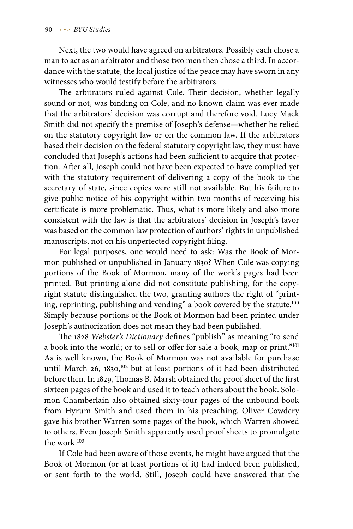Next, the two would have agreed on arbitrators. Possibly each chose a man to act as an arbitrator and those two men then chose a third. In accordance with the statute, the local justice of the peace may have sworn in any witnesses who would testify before the arbitrators.

The arbitrators ruled against Cole. Their decision, whether legally sound or not, was binding on Cole, and no known claim was ever made that the arbitrators' decision was corrupt and therefore void. Lucy Mack Smith did not specify the premise of Joseph's defense—whether he relied on the statutory copyright law or on the common law. If the arbitrators based their decision on the federal statutory copyright law, they must have concluded that Joseph's actions had been sufficient to acquire that protection. After all, Joseph could not have been expected to have complied yet with the statutory requirement of delivering a copy of the book to the secretary of state, since copies were still not available. But his failure to give public notice of his copyright within two months of receiving his certificate is more problematic. Thus, what is more likely and also more consistent with the law is that the arbitrators' decision in Joseph's favor was based on the common law protection of authors' rights in unpublished manuscripts, not on his unperfected copyright filing.

For legal purposes, one would need to ask: Was the Book of Mormon published or unpublished in January 1830? When Cole was copying portions of the Book of Mormon, many of the work's pages had been printed. But printing alone did not constitute publishing, for the copyright statute distinguished the two, granting authors the right of "printing, reprinting, publishing and vending" a book covered by the statute.<sup>100</sup> Simply because portions of the Book of Mormon had been printed under Joseph's authorization does not mean they had been published.

The 1828 *Webster's Dictionary* defines "publish" as meaning "to send a book into the world; or to sell or offer for sale a book, map or print."101 As is well known, the Book of Mormon was not available for purchase until March 26, 1830,<sup>102</sup> but at least portions of it had been distributed before then. In 1829, Thomas B. Marsh obtained the proof sheet of the first sixteen pages of the book and used it to teach others about the book. Solomon Chamberlain also obtained sixty-four pages of the unbound book from Hyrum Smith and used them in his preaching. Oliver Cowdery gave his brother Warren some pages of the book, which Warren showed to others. Even Joseph Smith apparently used proof sheets to promulgate the work.103

If Cole had been aware of those events, he might have argued that the Book of Mormon (or at least portions of it) had indeed been published, or sent forth to the world. Still, Joseph could have answered that the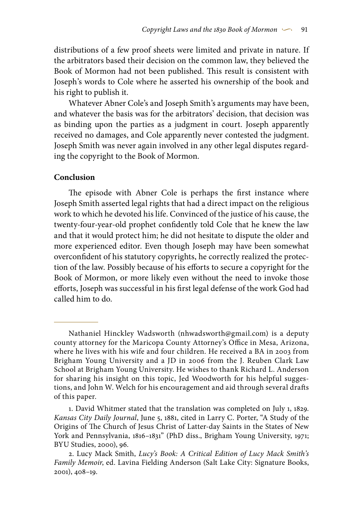distributions of a few proof sheets were limited and private in nature. If the arbitrators based their decision on the common law, they believed the Book of Mormon had not been published. This result is consistent with Joseph's words to Cole where he asserted his ownership of the book and his right to publish it.

Whatever Abner Cole's and Joseph Smith's arguments may have been, and whatever the basis was for the arbitrators' decision, that decision was as binding upon the parties as a judgment in court. Joseph apparently received no damages, and Cole apparently never contested the judgment. Joseph Smith was never again involved in any other legal disputes regarding the copyright to the Book of Mormon.

### **Conclusion**

The episode with Abner Cole is perhaps the first instance where Joseph Smith asserted legal rights that had a direct impact on the religious work to which he devoted his life. Convinced of the justice of his cause, the twenty-four-year-old prophet confidently told Cole that he knew the law and that it would protect him; he did not hesitate to dispute the older and more experienced editor. Even though Joseph may have been somewhat overconfident of his statutory copyrights, he correctly realized the protection of the law. Possibly because of his efforts to secure a copyright for the Book of Mormon, or more likely even without the need to invoke those efforts, Joseph was successful in his first legal defense of the work God had called him to do.

Nathaniel Hinckley Wadsworth (nhwadsworth@gmail.com) is a deputy county attorney for the Maricopa County Attorney's Office in Mesa, Arizona, where he lives with his wife and four children. He received a BA in 2003 from Brigham Young University and a JD in 2006 from the J. Reuben Clark Law School at Brigham Young University. He wishes to thank Richard L. Anderson for sharing his insight on this topic, Jed Woodworth for his helpful suggestions, and John W. Welch for his encouragement and aid through several drafts of this paper.

<sup>1.</sup> David Whitmer stated that the translation was completed on July 1, 1829. *Kansas City Daily Journal*, June 5, 1881, cited in Larry C. Porter, "A Study of the Origins of The Church of Jesus Christ of Latter-day Saints in the States of New York and Pennsylvania, 1816–1831" (PhD diss., Brigham Young University, 1971; BYU Studies, 2000), 96.

<sup>2.</sup> Lucy Mack Smith, *Lucy's Book: A Critical Edition of Lucy Mack Smith's Family Memoir*, ed. Lavina Fielding Anderson (Salt Lake City: Signature Books, 2001), 408–19.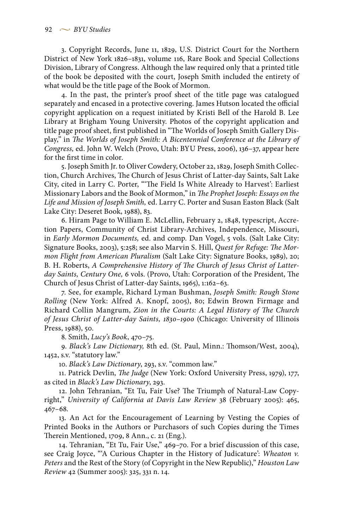3. Copyright Records, June 11, 1829, U.S. District Court for the Northern District of New York 1826–1831, volume 116, Rare Book and Special Collections Division, Library of Congress. Although the law required only that a printed title of the book be deposited with the court, Joseph Smith included the entirety of what would be the title page of the Book of Mormon.

4. In the past, the printer's proof sheet of the title page was catalogued separately and encased in a protective covering. James Hutson located the official copyright application on a request initiated by Kristi Bell of the Harold B. Lee Library at Brigham Young University. Photos of the copyright application and title page proof sheet, first published in "The Worlds of Joseph Smith Gallery Display," in *The Worlds of Joseph Smith: A Bicentennial Conference at the Library of Congress,* ed. John W. Welch (Provo, Utah: BYU Press, 2006), 136–37, appear here for the first time in color.

5. Joseph Smith Jr. to Oliver Cowdery, October 22, 1829, Joseph Smith Collection, Church Archives, The Church of Jesus Christ of Latter-day Saints, Salt Lake City, cited in Larry C. Porter, "'The Field Is White Already to Harvest': Earliest Missionary Labors and the Book of Mormon," in *The Prophet Joseph: Essays on the Life and Mission of Joseph Smith,* ed. Larry C. Porter and Susan Easton Black (Salt Lake City: Deseret Book, 1988), 83.

6. Hiram Page to William E. McLellin, February 2, 1848, typescript, Accretion Papers, Community of Christ Library-Archives, Independence, Missouri, in *Early Mormon Documents,* ed. and comp. Dan Vogel, 5 vols. (Salt Lake City: Signature Books, 2003), 5:258; see also Marvin S. Hill, *Quest for Refuge: The Mormon Flight from American Pluralism* (Salt Lake City: Signature Books, 1989), 20; B. H. Roberts, *A Comprehensive History of The Church of Jesus Christ of Latterday Saints, Century One,* 6 vols. (Provo, Utah: Corporation of the President, The Church of Jesus Christ of Latter-day Saints, 1965), 1:162–63.

7. See, for example, Richard Lyman Bushman, *Joseph Smith: Rough Stone Rolling* (New York: Alfred A. Knopf, 2005), 80; Edwin Brown Firmage and Richard Collin Mangrum, *Zion in the Courts: A Legal History of The Church of Jesus Christ of Latter-day Saints, 1830–1900* (Chicago: University of Illinois Press, 1988), 50.

8. Smith, *Lucy's Book*, 470–75.

9. *Black's Law Dictionary,* 8th ed. (St. Paul, Minn.: Thomson/West, 2004), 1452, s.v. "statutory law."

10. *Black's Law Dictionary*, 293, s.v. "common law."

11. Patrick Devlin, *The Judge* (New York: Oxford University Press, 1979), 177, as cited in *Black's Law Dictionary*, 293.

12. John Tehranian, "Et Tu, Fair Use? The Triumph of Natural-Law Copyright," *University of California at Davis Law Review* 38 (February 2005): 465, 467–68.

13. An Act for the Encouragement of Learning by Vesting the Copies of Printed Books in the Authors or Purchasors of such Copies during the Times Therein Mentioned, 1709, 8 Ann., c. 21 (Eng.).

14. Tehranian, "Et Tu, Fair Use," 469–70. For a brief discussion of this case, see Craig Joyce, "'A Curious Chapter in the History of Judicature': *Wheaton v. Peters* and the Rest of the Story (of Copyright in the New Republic)," *Houston Law Review* 42 (Summer 2005): 325, 331 n. 14.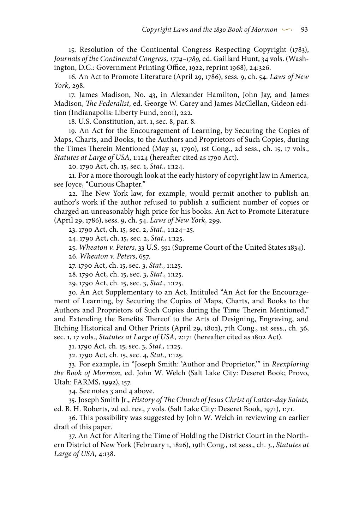15. Resolution of the Continental Congress Respecting Copyright (1783), *Journals of the Continental Congress, 1774–1789,* ed. Gaillard Hunt, 34 vols. (Washington, D.C.: Government Printing Office, 1922, reprint 1968), 24:326.

16. An Act to Promote Literature (April 29, 1786), sess. 9, ch. 54. *Laws of New York,* 298.

17. James Madison, No. 43, in Alexander Hamilton, John Jay, and James Madison, *The Federalist,* ed. George W. Carey and James McClellan, Gideon edition (Indianapolis: Liberty Fund, 2001), 222.

18. U.S. Constitution, art. 1, sec. 8, par. 8.

19. An Act for the Encouragement of Learning, by Securing the Copies of Maps, Charts, and Books, to the Authors and Proprietors of Such Copies, during the Times Therein Mentioned (May 31, 1790), 1st Cong., 2d sess., ch. 15, 17 vols., *Statutes at Large of USA,* 1:124 (hereafter cited as 1790 Act).

20. 1790 Act, ch. 15, sec. 1, *Stat.,* 1:124.

21. For a more thorough look at the early history of copyright law in America, see Joyce, "Curious Chapter."

22. The New York law, for example, would permit another to publish an author's work if the author refused to publish a sufficient number of copies or charged an unreasonably high price for his books. An Act to Promote Literature (April 29, 1786), sess. 9, ch. 54. *Laws of New York,* 299.

23. 1790 Act, ch. 15, sec. 2, *Stat.,* 1:124–25.

24. 1790 Act, ch. 15, sec. 2, *Stat.,* 1:125.

25. *Wheaton v. Peters*, 33 U.S. 591 (Supreme Court of the United States 1834).

26. *Wheaton v. Peters*, 657.

27. 1790 Act, ch. 15, sec. 3, *Stat.,* 1:125.

28. 1790 Act, ch. 15, sec. 3, *Stat.,* 1:125.

29. 1790 Act, ch. 15, sec. 3, *Stat.,* 1:125.

30. An Act Supplementary to an Act, Intituled "An Act for the Encouragement of Learning, by Securing the Copies of Maps, Charts, and Books to the Authors and Proprietors of Such Copies during the Time Therein Mentioned," and Extending the Benefits Thereof to the Arts of Designing, Engraving, and Etching Historical and Other Prints (April 29, 1802), 7th Cong., 1st sess., ch. 36, sec. 1, 17 vols., *Statutes at Large of USA,* 2:171 (hereafter cited as 1802 Act).

31. 1790 Act, ch. 15, sec. 3, *Stat.,* 1:125.

32. 1790 Act, ch. 15, sec. 4, *Stat.,* 1:125.

33. For example, in "Joseph Smith: 'Author and Proprietor,'" in *Reexploring the Book of Mormon,* ed. John W. Welch (Salt Lake City: Deseret Book; Provo, Utah: FARMS, 1992), 157.

34. See notes 3 and 4 above.

35. Joseph Smith Jr., *History of The Church of Jesus Christ of Latter-day Saints,* ed. B. H. Roberts, 2d ed. rev., 7 vols. (Salt Lake City: Deseret Book, 1971), 1:71.

36. This possibility was suggested by John W. Welch in reviewing an earlier draft of this paper.

37. An Act for Altering the Time of Holding the District Court in the Northern District of New York (February 1, 1826), 19th Cong., 1st sess., ch. 3., *Statutes at Large of USA,* 4:138.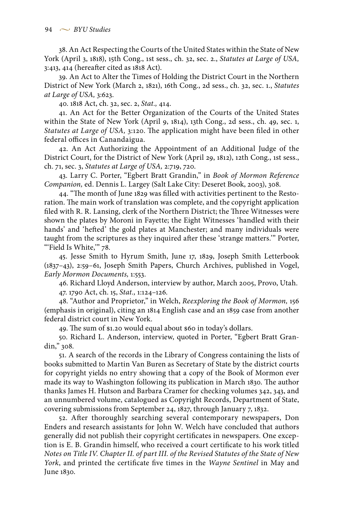38. An Act Respecting the Courts of the United States within the State of New York (April 3, 1818), 15th Cong., 1st sess., ch. 32, sec. 2., *Statutes at Large of USA,* 3:413, 414 (hereafter cited as 1818 Act).

39. An Act to Alter the Times of Holding the District Court in the Northern District of New York (March 2, 1821), 16th Cong., 2d sess., ch. 32, sec. 1., *Statutes at Large of USA,* 3:623.

40. 1818 Act, ch. 32, sec. 2, *Stat.,* 414.

41. An Act for the Better Organization of the Courts of the United States within the State of New York (April 9, 1814), 13th Cong., 2d sess., ch. 49, sec. 1, *Statutes at Large of USA,* 3:120. The application might have been filed in other federal offices in Canandaigua.

42. An Act Authorizing the Appointment of an Additional Judge of the District Court, for the District of New York (April 29, 1812), 12th Cong., 1st sess., ch. 71, sec. 3, *Statutes at Large of USA,* 2:719, 720.

43. Larry C. Porter, "Egbert Bratt Grandin," in *Book of Mormon Reference Companion,* ed. Dennis L. Largey (Salt Lake City: Deseret Book, 2003), 308.

44. "The month of June 1829 was filled with activities pertinent to the Restoration. The main work of translation was complete, and the copyright application filed with R. R. Lansing, clerk of the Northern District; the Three Witnesses were shown the plates by Moroni in Fayette; the Eight Witnesses 'handled with their hands' and 'hefted' the gold plates at Manchester; and many individuals were taught from the scriptures as they inquired after these 'strange matters.'" Porter, "'Field Is White," 78.

45. Jesse Smith to Hyrum Smith, June 17, 1829, Joseph Smith Letterbook (1837–43), 2:59–61, Joseph Smith Papers, Church Archives, published in Vogel, *Early Mormon Documents,* 1:553.

46. Richard Lloyd Anderson, interview by author, March 2005, Provo, Utah. 47. 1790 Act, ch. 15, *Stat.,* 1:124–126.

48. "Author and Proprietor," in Welch, *Reexploring the Book of Mormon,* 156 (emphasis in original), citing an 1814 English case and an 1859 case from another federal district court in New York.

49. The sum of \$1.20 would equal about \$60 in today's dollars.

50. Richard L. Anderson, interview, quoted in Porter, "Egbert Bratt Grandin," 308.

51. A search of the records in the Library of Congress containing the lists of books submitted to Martin Van Buren as Secretary of State by the district courts for copyright yields no entry showing that a copy of the Book of Mormon ever made its way to Washington following its publication in March 1830. The author thanks James H. Hutson and Barbara Cramer for checking volumes 342, 343, and an unnumbered volume, catalogued as Copyright Records, Department of State, covering submissions from September 24, 1827, through January 7, 1832.

52. After thoroughly searching several contemporary newspapers, Don Enders and research assistants for John W. Welch have concluded that authors generally did not publish their copyright certificates in newspapers. One exception is E. B. Grandin himself, who received a court certificate to his work titled *Notes on Title IV. Chapter II. of part III. of the Revised Statutes of the State of New York*, and printed the certificate five times in the *Wayne Sentinel* in May and June 1830.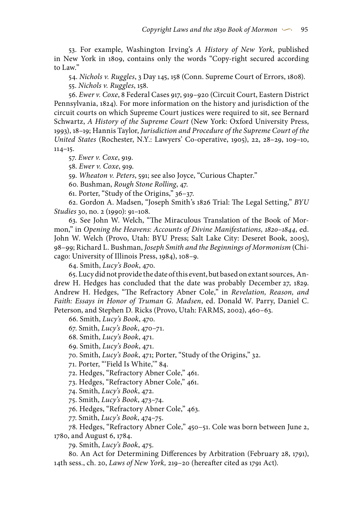53. For example, Washington Irving's *A History of New York*, published in New York in 1809, contains only the words "Copy-right secured according to Law."

54. *Nichols v. Ruggles*, 3 Day 145, 158 (Conn. Supreme Court of Errors, 1808). 55. *Nichols v. Ruggles*, 158.

56. *Ewer v. Coxe*, 8 Federal Cases 917, 919–920 (Circuit Court, Eastern District Pennsylvania, 1824). For more information on the history and jurisdiction of the circuit courts on which Supreme Court justices were required to sit, see Bernard Schwartz, *A History of the Supreme Court* (New York: Oxford University Press, 1993), 18–19; Hannis Taylor, *Jurisdiction and Procedure of the Supreme Court of the United States* (Rochester, N.Y.: Lawyers' Co-operative, 1905), 22, 28–29, 109–10, 114–15.

57. *Ewer v. Coxe*, 919.

58. *Ewer v. Coxe*, 919.

59. *Wheaton v. Peters*, 591; see also Joyce, "Curious Chapter."

60. Bushman, *Rough Stone Rolling*, 47.

61. Porter, "Study of the Origins," 36–37.

62. Gordon A. Madsen, "Joseph Smith's 1826 Trial: The Legal Setting," *BYU Studies* 30, no. 2 (1990): 91–108.

63. See John W. Welch, "The Miraculous Translation of the Book of Mormon," in *Opening the Heavens: Accounts of Divine Manifestations, 1820–1844,* ed. John W. Welch (Provo, Utah: BYU Press; Salt Lake City: Deseret Book, 2005), 98–99; Richard L. Bushman, *Joseph Smith and the Beginnings of Mormonism* (Chicago: University of Illinois Press, 1984), 108–9.

64. Smith, *Lucy's Book*, 470.

65. Lucy did not provide the date of this event, but based on extant sources, Andrew H. Hedges has concluded that the date was probably December 27, 1829. Andrew H. Hedges, "The Refractory Abner Cole," in *Revelation, Reason, and Faith: Essays in Honor of Truman G. Madsen*, ed. Donald W. Parry, Daniel C. Peterson, and Stephen D. Ricks (Provo, Utah: FARMS, 2002), 460–63.

66. Smith, *Lucy's Book*, 470.

67. Smith, *Lucy's Book*, 470–71.

68. Smith, *Lucy's Book*, 471.

69. Smith, *Lucy's Book*, 471.

70. Smith, *Lucy's Book*, 471; Porter, "Study of the Origins," 32.

71. Porter, "'Field Is White,'" 84.

72. Hedges, "Refractory Abner Cole," 461.

73. Hedges, "Refractory Abner Cole," 461.

74. Smith, *Lucy's Book*, 472.

75. Smith, *Lucy's Book*, 473–74.

76. Hedges, "Refractory Abner Cole," 463.

77. Smith, *Lucy's Book*, 474–75.

78. Hedges, "Refractory Abner Cole," 450–51. Cole was born between June 2, 1780, and August 6, 1784.

79. Smith, *Lucy's Book*, 475.

80. An Act for Determining Differences by Arbitration (February 28, 1791), 14th sess., ch. 20, *Laws of New York,* 219–20 (hereafter cited as 1791 Act).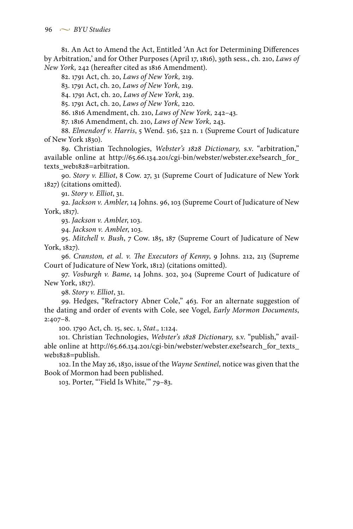81. An Act to Amend the Act, Entitled 'An Act for Determining Differences by Arbitration,' and for Other Purposes (April 17, 1816), 39th sess., ch. 210, *Laws of New York,* 242 (hereafter cited as 1816 Amendment).

82. 1791 Act, ch. 20, *Laws of New York,* 219.

83. 1791 Act, ch. 20, *Laws of New York,* 219.

84. 1791 Act, ch. 20, *Laws of New York,* 219.

85. 1791 Act, ch. 20, *Laws of New York,* 220.

86. 1816 Amendment, ch. 210, *Laws of New York,* 242–43.

87. 1816 Amendment, ch. 210, *Laws of New York,* 243.

88. *Elmendorf v. Harris*, 5 Wend. 516, 522 n. 1 (Supreme Court of Judicature of New York 1830).

89. Christian Technologies, *Webster's 1828 Dictionary,* s.v. "arbitration," available online at http://65.66.134.201/cgi-bin/webster/webster.exe?search\_for\_ texts\_web1828=arbitration.

90. *Story v. Elliot*, 8 Cow. 27, 31 (Supreme Court of Judicature of New York 1827) (citations omitted).

91. *Story v. Elliot*, 31.

92. *Jackson v. Ambler*, 14 Johns. 96, 103 (Supreme Court of Judicature of New York, 1817).

93. *Jackson v. Ambler*, 103.

94. *Jackson v. Ambler*, 103.

95. *Mitchell v. Bush*, 7 Cow. 185, 187 (Supreme Court of Judicature of New York, 1827).

96. *Cranston, et al. v. The Executors of Kenny*, 9 Johns. 212, 213 (Supreme Court of Judicature of New York, 1812) (citations omitted).

97. *Vosburgh v. Bame*, 14 Johns. 302, 304 (Supreme Court of Judicature of New York, 1817).

98. *Story v. Elliot*, 31.

99. Hedges, "Refractory Abner Cole," 463. For an alternate suggestion of the dating and order of events with Cole, see Vogel, *Early Mormon Documents*, 2:407–8.

100. 1790 Act, ch. 15, sec. 1, *Stat.,* 1:124.

101. Christian Technologies, *Webster's 1828 Dictionary,* s.v. "publish," available online at http://65.66.134.201/cgi-bin/webster/webster.exe?search\_for\_texts\_ web1828=publish.

102. In the May 26, 1830, issue of the *Wayne Sentinel,* notice was given that the Book of Mormon had been published.

103. Porter, "'Field Is White,'" 79–83.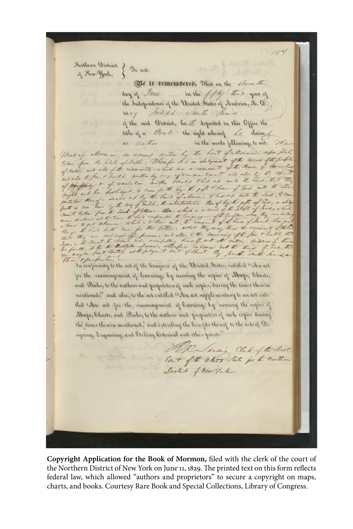104 Northern District ? To with of New-York. **Be it remembered,** That on the elwin the day of Tune in the fifty that year of the Independence of the United States of Jomerica, A. D. 1829 Joseph Amith Junior of the said District, ha the deposited in this Office the title of a Brak the right whereof he claim as anthor in the words following, to wit: The Book of Mormon, as account written by the hand of Mormon who plats Total of entertain, as account continue by an always and ofthe record of the of september and all the Samments, which are a removant of the Rows of and also to few + Suntile written by way of and also to for a suitable written by the Phile of the not with the 2, to come for the by the sift them of God mits might not be destiny with not be descript up by the has of allowing the hand by the ellormi thidrap water the da book of their: also. t take from the the at the time , which is to the to get to hear a for the fathers; worked they may know In the Love hatte man for the father; settled the may in the chart to the state to present the first section and not the thing of the thing of the thing of the thing of the thing of the thing of the thing of the thing of the the state of the state of the state of the state of In conformity to the act of the Congress of the United States, entitled "Jon act for the encouragement of Garning, by securing the copies of Maps, Charts, and Decks, to the authors and proprietors of such copies, during the times therein mentioned;" and also, to the act entitled "Then act supplementary to an act entithat then act for the incomagement of learning, by securing the copies of Maps, Charts, and Becks, to the authors and proprietors of such copies during the times therein mentioned, and extending the benefits thereof to the arts of Deigning, Engraving, and Etching historical and other prints." OR Sarling Club of the Dirt. Count of the White State for the northern District frew Ink

**Copyright Application for the Book of Mormon,** filed with the clerk of the court of the Northern District of New York on June 11, 1829. The printed text on this form reflects federal law, which allowed "authors and proprietors" to secure a copyright on maps, charts, and books. Courtesy Rare Book and Special Collections, Library of Congress.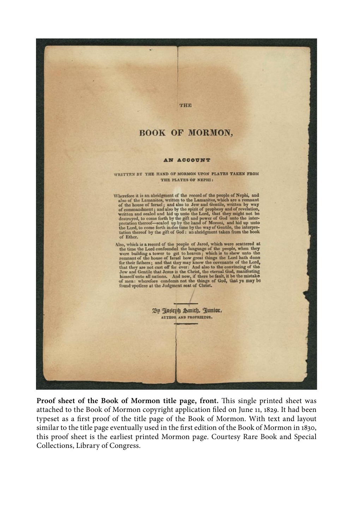

**Proof sheet of the Book of Mormon title page, front.** This single printed sheet was attached to the Book of Mormon copyright application filed on June 11, 1829. It had been typeset as a first proof of the title page of the Book of Mormon. With text and layout similar to the title page eventually used in the first edition of the Book of Mormon in 1830, this proof sheet is the earliest printed Mormon page. Courtesy Rare Book and Special Collections, Library of Congress.